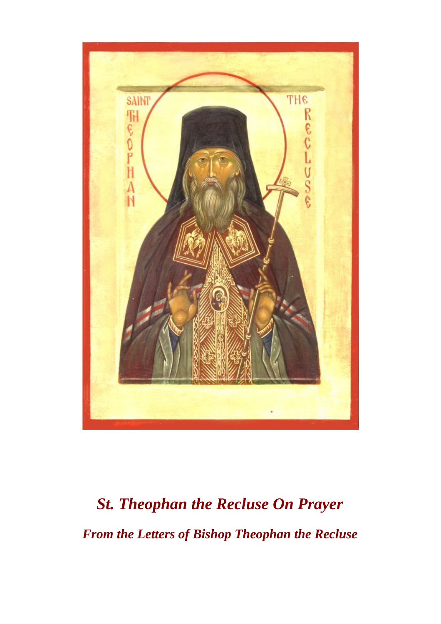

# *St. Theophan the Recluse On Prayer From the Letters of Bishop Theophan the Recluse*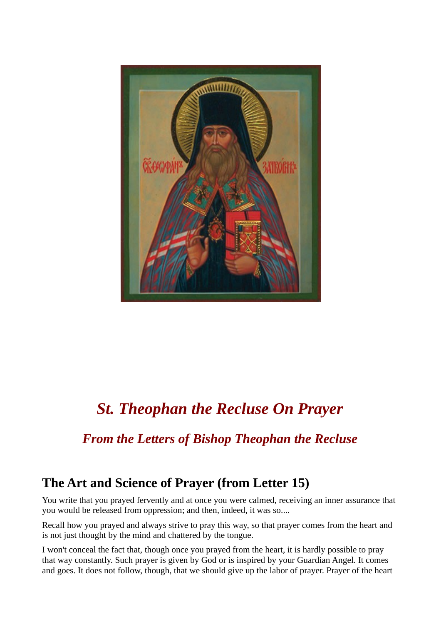

# *St. Theophan the Recluse On Prayer*

## *From the Letters of Bishop Theophan the Recluse*

### **The Art and Science of Prayer (from Letter 15)**

You write that you prayed fervently and at once you were calmed, receiving an inner assurance that you would be released from oppression; and then, indeed, it was so....

Recall how you prayed and always strive to pray this way, so that prayer comes from the heart and is not just thought by the mind and chattered by the tongue.

I won't conceal the fact that, though once you prayed from the heart, it is hardly possible to pray that way constantly. Such prayer is given by God or is inspired by your Guardian Angel. It comes and goes. It does not follow, though, that we should give up the labor of prayer. Prayer of the heart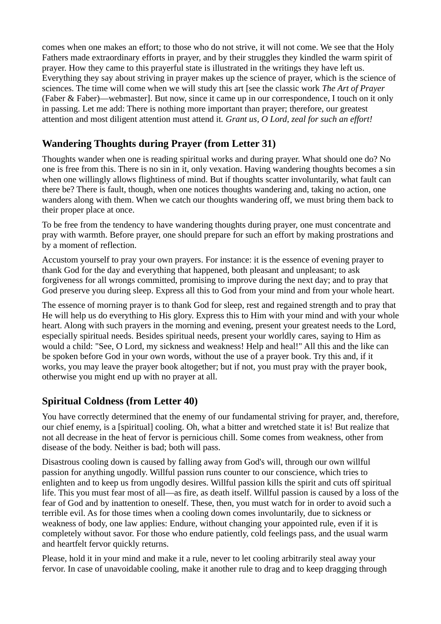comes when one makes an effort; to those who do not strive, it will not come. We see that the Holy Fathers made extraordinary efforts in prayer, and by their struggles they kindled the warm spirit of prayer. How they came to this prayerful state is illustrated in the writings they have left us. Everything they say about striving in prayer makes up the science of prayer, which is the science of sciences. The time will come when we will study this art [see the classic work *The Art of Prayer* (Faber & Faber)—webmaster]. But now, since it came up in our correspondence, I touch on it only in passing. Let me add: There is nothing more important than prayer; therefore, our greatest attention and most diligent attention must attend it*. Grant us, O Lord, zeal for such an effort!*

#### **Wandering Thoughts during Prayer (from Letter 31)**

Thoughts wander when one is reading spiritual works and during prayer. What should one do? No one is free from this. There is no sin in it, only vexation. Having wandering thoughts becomes a sin when one willingly allows flightiness of mind. But if thoughts scatter involuntarily, what fault can there be? There is fault, though, when one notices thoughts wandering and, taking no action, one wanders along with them. When we catch our thoughts wandering off, we must bring them back to their proper place at once.

To be free from the tendency to have wandering thoughts during prayer, one must concentrate and pray with warmth. Before prayer, one should prepare for such an effort by making prostrations and by a moment of reflection.

Accustom yourself to pray your own prayers. For instance: it is the essence of evening prayer to thank God for the day and everything that happened, both pleasant and unpleasant; to ask forgiveness for all wrongs committed, promising to improve during the next day; and to pray that God preserve you during sleep. Express all this to God from your mind and from your whole heart.

The essence of morning prayer is to thank God for sleep, rest and regained strength and to pray that He will help us do everything to His glory. Express this to Him with your mind and with your whole heart. Along with such prayers in the morning and evening, present your greatest needs to the Lord, especially spiritual needs. Besides spiritual needs, present your worldly cares, saying to Him as would a child: "See, O Lord, my sickness and weakness! Help and heal!" All this and the like can be spoken before God in your own words, without the use of a prayer book. Try this and, if it works, you may leave the prayer book altogether; but if not, you must pray with the prayer book, otherwise you might end up with no prayer at all.

#### **Spiritual Coldness (from Letter 40)**

You have correctly determined that the enemy of our fundamental striving for prayer, and, therefore, our chief enemy, is a [spiritual] cooling. Oh, what a bitter and wretched state it is! But realize that not all decrease in the heat of fervor is pernicious chill. Some comes from weakness, other from disease of the body. Neither is bad; both will pass.

Disastrous cooling down is caused by falling away from God's will, through our own willful passion for anything ungodly. Willful passion runs counter to our conscience, which tries to enlighten and to keep us from ungodly desires. Willful passion kills the spirit and cuts off spiritual life. This you must fear most of all—as fire, as death itself. Willful passion is caused by a loss of the fear of God and by inattention to oneself. These, then, you must watch for in order to avoid such a terrible evil. As for those times when a cooling down comes involuntarily, due to sickness or weakness of body, one law applies: Endure, without changing your appointed rule, even if it is completely without savor. For those who endure patiently, cold feelings pass, and the usual warm and heartfelt fervor quickly returns.

Please, hold it in your mind and make it a rule, never to let cooling arbitrarily steal away your fervor. In case of unavoidable cooling, make it another rule to drag and to keep dragging through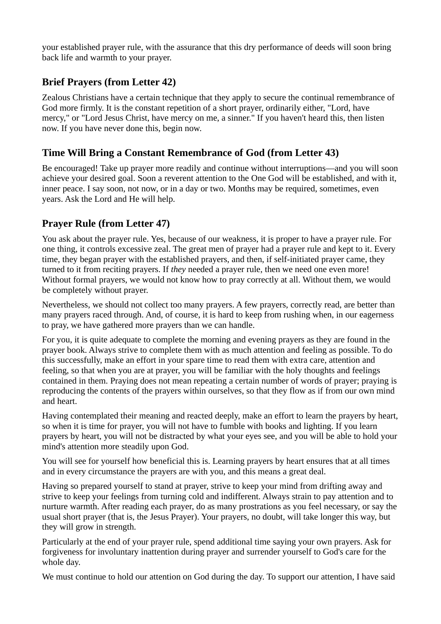your established prayer rule, with the assurance that this dry performance of deeds will soon bring back life and warmth to your prayer.

#### **Brief Prayers (from Letter 42)**

Zealous Christians have a certain technique that they apply to secure the continual remembrance of God more firmly. It is the constant repetition of a short prayer, ordinarily either, "Lord, have mercy," or "Lord Jesus Christ, have mercy on me, a sinner." If you haven't heard this, then listen now. If you have never done this, begin now.

#### **Time Will Bring a Constant Remembrance of God (from Letter 43)**

Be encouraged! Take up prayer more readily and continue without interruptions—and you will soon achieve your desired goal. Soon a reverent attention to the One God will be established, and with it, inner peace. I say soon, not now, or in a day or two. Months may be required, sometimes, even years. Ask the Lord and He will help.

#### **Prayer Rule (from Letter 47)**

You ask about the prayer rule. Yes, because of our weakness, it is proper to have a prayer rule. For one thing, it controls excessive zeal. The great men of prayer had a prayer rule and kept to it. Every time, they began prayer with the established prayers, and then, if self-initiated prayer came, they turned to it from reciting prayers. If *they* needed a prayer rule, then we need one even more! Without formal prayers, we would not know how to pray correctly at all. Without them, we would be completely without prayer.

Nevertheless, we should not collect too many prayers. A few prayers, correctly read, are better than many prayers raced through. And, of course, it is hard to keep from rushing when, in our eagerness to pray, we have gathered more prayers than we can handle.

For you, it is quite adequate to complete the morning and evening prayers as they are found in the prayer book. Always strive to complete them with as much attention and feeling as possible. To do this successfully, make an effort in your spare time to read them with extra care, attention and feeling, so that when you are at prayer, you will be familiar with the holy thoughts and feelings contained in them. Praying does not mean repeating a certain number of words of prayer; praying is reproducing the contents of the prayers within ourselves, so that they flow as if from our own mind and heart.

Having contemplated their meaning and reacted deeply, make an effort to learn the prayers by heart, so when it is time for prayer, you will not have to fumble with books and lighting. If you learn prayers by heart, you will not be distracted by what your eyes see, and you will be able to hold your mind's attention more steadily upon God.

You will see for yourself how beneficial this is. Learning prayers by heart ensures that at all times and in every circumstance the prayers are with you, and this means a great deal.

Having so prepared yourself to stand at prayer, strive to keep your mind from drifting away and strive to keep your feelings from turning cold and indifferent. Always strain to pay attention and to nurture warmth. After reading each prayer, do as many prostrations as you feel necessary, or say the usual short prayer (that is, the Jesus Prayer). Your prayers, no doubt, will take longer this way, but they will grow in strength.

Particularly at the end of your prayer rule, spend additional time saying your own prayers. Ask for forgiveness for involuntary inattention during prayer and surrender yourself to God's care for the whole day.

We must continue to hold our attention on God during the day. To support our attention, I have said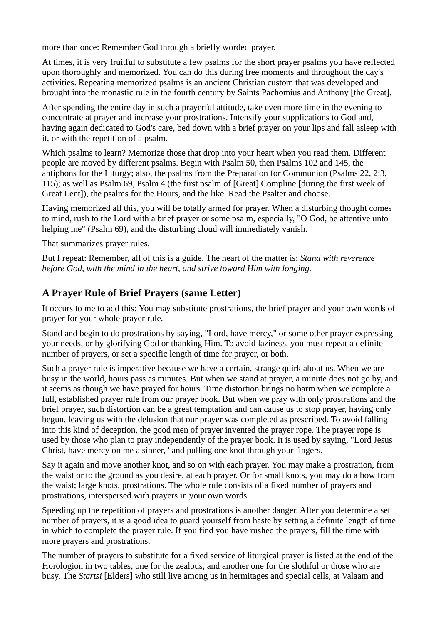more than once: Remember God through a briefly worded prayer.

At times, it is very fruitful to substitute a few psalms for the short prayer psalms you have reflected upon thoroughly and memorized. You can do this during free moments and throughout the day's activities. Repeating memorized psalms is an ancient Christian custom that was developed and brought into the monastic rule in the fourth century by Saints Pachomius and Anthony [the Great].

After spending the entire day in such a prayerful attitude, take even more time in the evening to concentrate at prayer and increase your prostrations. Intensify your supplications to God and, having again dedicated to God's care, bed down with a brief prayer on your lips and fall asleep with it, or with the repetition of a psalm.

Which psalms to learn? Memorize those that drop into your heart when you read them. Different people are moved by different psalms. Begin with Psalm 50, then Psalms 102 and 145, the antiphons for the Liturgy; also, the psalms from the Preparation for Communion (Psalms 22, 2:3, 115); as well as Psalm 69, Psalm 4 (the first psalm of [Great] Compline [during the first week of Great Lent]), the psalms for the Hours, and the like. Read the Psalter and choose.

Having memorized all this, you will be totally armed for prayer. When a disturbing thought comes to mind, rush to the Lord with a brief prayer or some psalm, especially, "O God, be attentive unto helping me" (Psalm 69), and the disturbing cloud will immediately vanish.

That summarizes prayer rules.

But I repeat: Remember, all of this is a guide. The heart of the matter is: *Stand with reverence before God, with the mind in the heart, and strive toward Him with longing.*

#### **A Prayer Rule of Brief Prayers (same Letter)**

It occurs to me to add this: You may substitute prostrations, the brief prayer and your own words of prayer for your whole prayer rule.

Stand and begin to do prostrations by saying, "Lord, have mercy," or some other prayer expressing your needs, or by glorifying God or thanking Him. To avoid laziness, you must repeat a definite number of prayers, or set a specific length of time for prayer, or both.

Such a prayer rule is imperative because we have a certain, strange quirk about us. When we are busy in the world, hours pass as minutes. But when we stand at prayer, a minute does not go by, and it seems as though we have prayed for hours. Time distortion brings no harm when we complete a full, established prayer rule from our prayer book. But when we pray with only prostrations and the brief prayer, such distortion can be a great temptation and can cause us to stop prayer, having only begun, leaving us with the delusion that our prayer was completed as prescribed. To avoid falling into this kind of deception, the good men of prayer invented the prayer rope. The prayer rope is used by those who plan to pray independently of the prayer book. It is used by saying, "Lord Jesus Christ, have mercy on me a sinner, ' and pulling one knot through your fingers.

Say it again and move another knot, and so on with each prayer. You may make a prostration, from the waist or to the ground as you desire, at each prayer. Or for small knots, you may do a bow from the waist; large knots, prostrations. The whole rule consists of a fixed number of prayers and prostrations, interspersed with prayers in your own words.

Speeding up the repetition of prayers and prostrations is another danger. After you determine a set number of prayers, it is a good idea to guard yourself from haste by setting a definite length of time in which to complete the prayer rule. If you find you have rushed the prayers, fill the time with more prayers and prostrations.

The number of prayers to substitute for a fixed service of liturgical prayer is listed at the end of the Horologion in two tables, one for the zealous, and another one for the slothful or those who are busy. The *Startsi* [Elders] who still live among us in hermitages and special cells, at Valaam and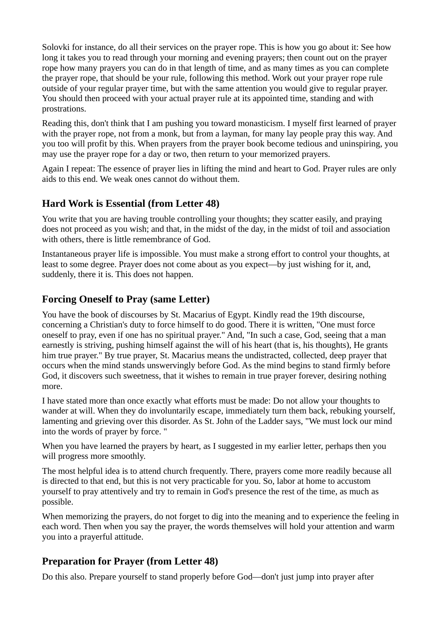Solovki for instance, do all their services on the prayer rope. This is how you go about it: See how long it takes you to read through your morning and evening prayers; then count out on the prayer rope how many prayers you can do in that length of time, and as many times as you can complete the prayer rope, that should be your rule, following this method. Work out your prayer rope rule outside of your regular prayer time, but with the same attention you would give to regular prayer. You should then proceed with your actual prayer rule at its appointed time, standing and with prostrations.

Reading this, don't think that I am pushing you toward monasticism. I myself first learned of prayer with the prayer rope, not from a monk, but from a layman, for many lay people pray this way. And you too will profit by this. When prayers from the prayer book become tedious and uninspiring, you may use the prayer rope for a day or two, then return to your memorized prayers.

Again I repeat: The essence of prayer lies in lifting the mind and heart to God. Prayer rules are only aids to this end. We weak ones cannot do without them.

#### **Hard Work is Essential (from Letter 48)**

You write that you are having trouble controlling your thoughts; they scatter easily, and praying does not proceed as you wish; and that, in the midst of the day, in the midst of toil and association with others, there is little remembrance of God.

Instantaneous prayer life is impossible. You must make a strong effort to control your thoughts, at least to some degree. Prayer does not come about as you expect—by just wishing for it, and, suddenly, there it is. This does not happen.

#### **Forcing Oneself to Pray (same Letter)**

You have the book of discourses by St. Macarius of Egypt. Kindly read the 19th discourse, concerning a Christian's duty to force himself to do good. There it is written, "One must force oneself to pray, even if one has no spiritual prayer." And, "In such a case, God, seeing that a man earnestly is striving, pushing himself against the will of his heart (that is, his thoughts), He grants him true prayer." By true prayer, St. Macarius means the undistracted, collected, deep prayer that occurs when the mind stands unswervingly before God. As the mind begins to stand firmly before God, it discovers such sweetness, that it wishes to remain in true prayer forever, desiring nothing more.

I have stated more than once exactly what efforts must be made: Do not allow your thoughts to wander at will. When they do involuntarily escape, immediately turn them back, rebuking yourself, lamenting and grieving over this disorder. As St. John of the Ladder says, "We must lock our mind into the words of prayer by force. "

When you have learned the prayers by heart, as I suggested in my earlier letter, perhaps then you will progress more smoothly.

The most helpful idea is to attend church frequently. There, prayers come more readily because all is directed to that end, but this is not very practicable for you. So, labor at home to accustom yourself to pray attentively and try to remain in God's presence the rest of the time, as much as possible.

When memorizing the prayers, do not forget to dig into the meaning and to experience the feeling in each word. Then when you say the prayer, the words themselves will hold your attention and warm you into a prayerful attitude.

#### **Preparation for Prayer (from Letter 48)**

Do this also. Prepare yourself to stand properly before God—don't just jump into prayer after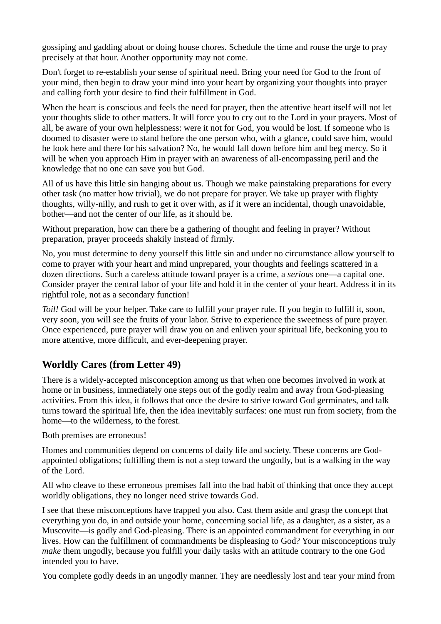gossiping and gadding about or doing house chores. Schedule the time and rouse the urge to pray precisely at that hour. Another opportunity may not come.

Don't forget to re-establish your sense of spiritual need. Bring your need for God to the front of your mind, then begin to draw your mind into your heart by organizing your thoughts into prayer and calling forth your desire to find their fulfillment in God.

When the heart is conscious and feels the need for prayer, then the attentive heart itself will not let your thoughts slide to other matters. It will force you to cry out to the Lord in your prayers. Most of all, be aware of your own helplessness: were it not for God, you would be lost. If someone who is doomed to disaster were to stand before the one person who, with a glance, could save him, would he look here and there for his salvation? No, he would fall down before him and beg mercy. So it will be when you approach Him in prayer with an awareness of all-encompassing peril and the knowledge that no one can save you but God.

All of us have this little sin hanging about us. Though we make painstaking preparations for every other task (no matter how trivial), we do not prepare for prayer. We take up prayer with flighty thoughts, willy-nilly, and rush to get it over with, as if it were an incidental, though unavoidable, bother—and not the center of our life, as it should be.

Without preparation, how can there be a gathering of thought and feeling in prayer? Without preparation, prayer proceeds shakily instead of firmly.

No, you must determine to deny yourself this little sin and under no circumstance allow yourself to come to prayer with your heart and mind unprepared, your thoughts and feelings scattered in a dozen directions. Such a careless attitude toward prayer is a crime, a *serious* one—a capital one. Consider prayer the central labor of your life and hold it in the center of your heart. Address it in its rightful role, not as a secondary function!

*Toil!* God will be your helper. Take care to fulfill your prayer rule. If you begin to fulfill it, soon, very soon, you will see the fruits of your labor. Strive to experience the sweetness of pure prayer. Once experienced, pure prayer will draw you on and enliven your spiritual life, beckoning you to more attentive, more difficult, and ever-deepening prayer.

#### **Worldly Cares (from Letter 49)**

There is a widely-accepted misconception among us that when one becomes involved in work at home or in business, immediately one steps out of the godly realm and away from God-pleasing activities. From this idea, it follows that once the desire to strive toward God germinates, and talk turns toward the spiritual life, then the idea inevitably surfaces: one must run from society, from the home—to the wilderness, to the forest.

Both premises are erroneous!

Homes and communities depend on concerns of daily life and society. These concerns are Godappointed obligations; fulfilling them is not a step toward the ungodly, but is a walking in the way of the Lord.

All who cleave to these erroneous premises fall into the bad habit of thinking that once they accept worldly obligations, they no longer need strive towards God.

I see that these misconceptions have trapped you also. Cast them aside and grasp the concept that everything you do, in and outside your home, concerning social life, as a daughter, as a sister, as a Muscovite—is godly and God-pleasing. There is an appointed commandment for everything in our lives. How can the fulfillment of commandments be displeasing to God? Your misconceptions truly *make* them ungodly, because you fulfill your daily tasks with an attitude contrary to the one God intended you to have.

You complete godly deeds in an ungodly manner. They are needlessly lost and tear your mind from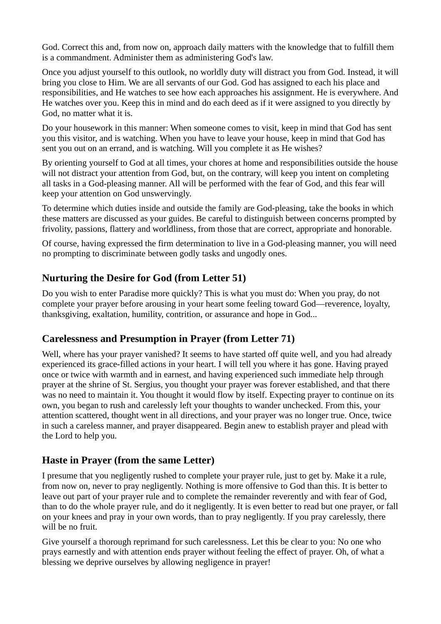God. Correct this and, from now on, approach daily matters with the knowledge that to fulfill them is a commandment. Administer them as administering God's law.

Once you adjust yourself to this outlook, no worldly duty will distract you from God. Instead, it will bring you close to Him. We are all servants of our God. God has assigned to each his place and responsibilities, and He watches to see how each approaches his assignment. He is everywhere. And He watches over you. Keep this in mind and do each deed as if it were assigned to you directly by God, no matter what it is.

Do your housework in this manner: When someone comes to visit, keep in mind that God has sent you this visitor, and is watching. When you have to leave your house, keep in mind that God has sent you out on an errand, and is watching. Will you complete it as He wishes?

By orienting yourself to God at all times, your chores at home and responsibilities outside the house will not distract your attention from God, but, on the contrary, will keep you intent on completing all tasks in a God-pleasing manner. All will be performed with the fear of God, and this fear will keep your attention on God unswervingly.

To determine which duties inside and outside the family are God-pleasing, take the books in which these matters are discussed as your guides. Be careful to distinguish between concerns prompted by frivolity, passions, flattery and worldliness, from those that are correct, appropriate and honorable.

Of course, having expressed the firm determination to live in a God-pleasing manner, you will need no prompting to discriminate between godly tasks and ungodly ones.

#### **Nurturing the Desire for God (from Letter 51)**

Do you wish to enter Paradise more quickly? This is what you must do: When you pray, do not complete your prayer before arousing in your heart some feeling toward God—reverence, loyalty, thanksgiving, exaltation, humility, contrition, or assurance and hope in God...

#### **Carelessness and Presumption in Prayer (from Letter 71)**

Well, where has your prayer vanished? It seems to have started off quite well, and you had already experienced its grace-filled actions in your heart. I will tell you where it has gone. Having prayed once or twice with warmth and in earnest, and having experienced such immediate help through prayer at the shrine of St. Sergius, you thought your prayer was forever established, and that there was no need to maintain it. You thought it would flow by itself. Expecting prayer to continue on its own, you began to rush and carelessly left your thoughts to wander unchecked. From this, your attention scattered, thought went in all directions, and your prayer was no longer true. Once, twice in such a careless manner, and prayer disappeared. Begin anew to establish prayer and plead with the Lord to help you.

#### **Haste in Prayer (from the same Letter)**

I presume that you negligently rushed to complete your prayer rule, just to get by. Make it a rule, from now on, never to pray negligently. Nothing is more offensive to God than this. It is better to leave out part of your prayer rule and to complete the remainder reverently and with fear of God, than to do the whole prayer rule, and do it negligently. It is even better to read but one prayer, or fall on your knees and pray in your own words, than to pray negligently. If you pray carelessly, there will be no fruit.

Give yourself a thorough reprimand for such carelessness. Let this be clear to you: No one who prays earnestly and with attention ends prayer without feeling the effect of prayer. Oh, of what a blessing we deprive ourselves by allowing negligence in prayer!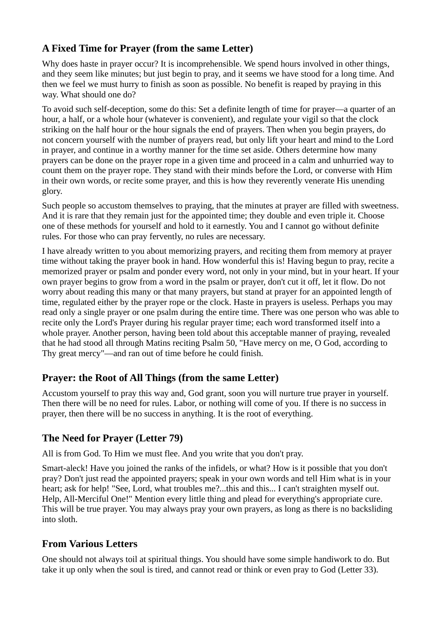#### **A Fixed Time for Prayer (from the same Letter)**

Why does haste in prayer occur? It is incomprehensible. We spend hours involved in other things, and they seem like minutes; but just begin to pray, and it seems we have stood for a long time. And then we feel we must hurry to finish as soon as possible. No benefit is reaped by praying in this way. What should one do?

To avoid such self-deception, some do this: Set a definite length of time for prayer—a quarter of an hour, a half, or a whole hour (whatever is convenient), and regulate your vigil so that the clock striking on the half hour or the hour signals the end of prayers. Then when you begin prayers, do not concern yourself with the number of prayers read, but only lift your heart and mind to the Lord in prayer, and continue in a worthy manner for the time set aside. Others determine how many prayers can be done on the prayer rope in a given time and proceed in a calm and unhurried way to count them on the prayer rope. They stand with their minds before the Lord, or converse with Him in their own words, or recite some prayer, and this is how they reverently venerate His unending glory.

Such people so accustom themselves to praying, that the minutes at prayer are filled with sweetness. And it is rare that they remain just for the appointed time; they double and even triple it. Choose one of these methods for yourself and hold to it earnestly. You and I cannot go without definite rules. For those who can pray fervently, no rules are necessary.

I have already written to you about memorizing prayers, and reciting them from memory at prayer time without taking the prayer book in hand. How wonderful this is! Having begun to pray, recite a memorized prayer or psalm and ponder every word, not only in your mind, but in your heart. If your own prayer begins to grow from a word in the psalm or prayer, don't cut it off, let it flow. Do not worry about reading this many or that many prayers, but stand at prayer for an appointed length of time, regulated either by the prayer rope or the clock. Haste in prayers is useless. Perhaps you may read only a single prayer or one psalm during the entire time. There was one person who was able to recite only the Lord's Prayer during his regular prayer time; each word transformed itself into a whole prayer. Another person, having been told about this acceptable manner of praying, revealed that he had stood all through Matins reciting Psalm 50, "Have mercy on me, O God, according to Thy great mercy"—and ran out of time before he could finish.

#### **Prayer: the Root of All Things (from the same Letter)**

Accustom yourself to pray this way and, God grant, soon you will nurture true prayer in yourself. Then there will be no need for rules. Labor, or nothing will come of you. If there is no success in prayer, then there will be no success in anything. It is the root of everything.

#### **The Need for Prayer (Letter 79)**

All is from God. To Him we must flee. And you write that you don't pray.

Smart-aleck! Have you joined the ranks of the infidels, or what? How is it possible that you don't pray? Don't just read the appointed prayers; speak in your own words and tell Him what is in your heart; ask for help! "See, Lord, what troubles me?...this and this... I can't straighten myself out. Help, All-Merciful One!" Mention every little thing and plead for everything's appropriate cure. This will be true prayer. You may always pray your own prayers, as long as there is no backsliding into sloth.

#### **From Various Letters**

One should not always toil at spiritual things. You should have some simple handiwork to do. But take it up only when the soul is tired, and cannot read or think or even pray to God (Letter 33).